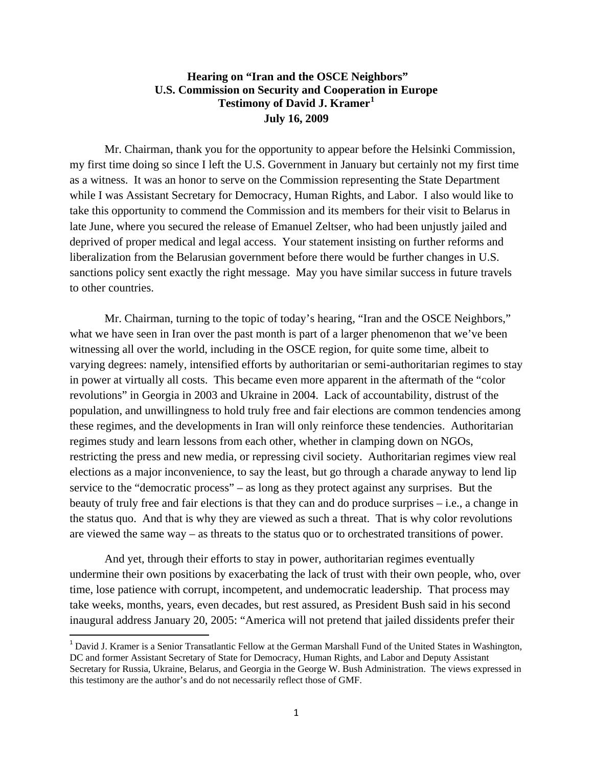## **Hearing on "Iran and the OSCE Neighbors" U.S. Commission on Security and Cooperation in Europe Testimony of David J. Kramer[1](#page-0-0) July 16, 2009**

 Mr. Chairman, thank you for the opportunity to appear before the Helsinki Commission, my first time doing so since I left the U.S. Government in January but certainly not my first time as a witness. It was an honor to serve on the Commission representing the State Department while I was Assistant Secretary for Democracy, Human Rights, and Labor. I also would like to take this opportunity to commend the Commission and its members for their visit to Belarus in late June, where you secured the release of Emanuel Zeltser, who had been unjustly jailed and deprived of proper medical and legal access. Your statement insisting on further reforms and liberalization from the Belarusian government before there would be further changes in U.S. sanctions policy sent exactly the right message. May you have similar success in future travels to other countries.

Mr. Chairman, turning to the topic of today's hearing, "Iran and the OSCE Neighbors," what we have seen in Iran over the past month is part of a larger phenomenon that we've been witnessing all over the world, including in the OSCE region, for quite some time, albeit to varying degrees: namely, intensified efforts by authoritarian or semi-authoritarian regimes to stay in power at virtually all costs. This became even more apparent in the aftermath of the "color revolutions" in Georgia in 2003 and Ukraine in 2004. Lack of accountability, distrust of the population, and unwillingness to hold truly free and fair elections are common tendencies among these regimes, and the developments in Iran will only reinforce these tendencies. Authoritarian regimes study and learn lessons from each other, whether in clamping down on NGOs, restricting the press and new media, or repressing civil society. Authoritarian regimes view real elections as a major inconvenience, to say the least, but go through a charade anyway to lend lip service to the "democratic process" – as long as they protect against any surprises. But the beauty of truly free and fair elections is that they can and do produce surprises – i.e., a change in the status quo. And that is why they are viewed as such a threat. That is why color revolutions are viewed the same way – as threats to the status quo or to orchestrated transitions of power.

And yet, through their efforts to stay in power, authoritarian regimes eventually undermine their own positions by exacerbating the lack of trust with their own people, who, over time, lose patience with corrupt, incompetent, and undemocratic leadership. That process may take weeks, months, years, even decades, but rest assured, as President Bush said in his second inaugural address January 20, 2005: "America will not pretend that jailed dissidents prefer their

<span id="page-0-0"></span><sup>&</sup>lt;sup>1</sup> David J. Kramer is a Senior Transatlantic Fellow at the German Marshall Fund of the United States in Washington, DC and former Assistant Secretary of State for Democracy, Human Rights, and Labor and Deputy Assistant Secretary for Russia, Ukraine, Belarus, and Georgia in the George W. Bush Administration. The views expressed in this testimony are the author's and do not necessarily reflect those of GMF.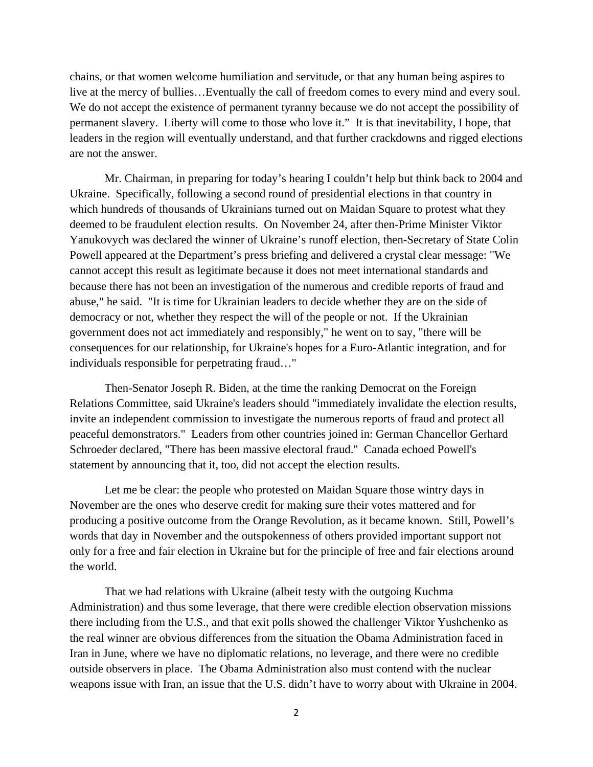chains, or that women welcome humiliation and servitude, or that any human being aspires to live at the mercy of bullies…Eventually the call of freedom comes to every mind and every soul. We do not accept the existence of permanent tyranny because we do not accept the possibility of permanent slavery. Liberty will come to those who love it." It is that inevitability, I hope, that leaders in the region will eventually understand, and that further crackdowns and rigged elections are not the answer.

Mr. Chairman, in preparing for today's hearing I couldn't help but think back to 2004 and Ukraine. Specifically, following a second round of presidential elections in that country in which hundreds of thousands of Ukrainians turned out on Maidan Square to protest what they deemed to be fraudulent election results. On November 24, after then-Prime Minister Viktor Yanukovych was declared the winner of Ukraine's runoff election, then-Secretary of State Colin Powell appeared at the Department's press briefing and delivered a crystal clear message: "We cannot accept this result as legitimate because it does not meet international standards and because there has not been an investigation of the numerous and credible reports of fraud and abuse," he said. "It is time for Ukrainian leaders to decide whether they are on the side of democracy or not, whether they respect the will of the people or not. If the Ukrainian government does not act immediately and responsibly," he went on to say, "there will be consequences for our relationship, for Ukraine's hopes for a Euro-Atlantic integration, and for individuals responsible for perpetrating fraud…"

Then-Senator Joseph R. Biden, at the time the ranking Democrat on the Foreign Relations Committee, said Ukraine's leaders should "immediately invalidate the election results, invite an independent commission to investigate the numerous reports of fraud and protect all peaceful demonstrators." Leaders from other countries joined in: German Chancellor Gerhard Schroeder declared, "There has been massive electoral fraud." Canada echoed Powell's statement by announcing that it, too, did not accept the election results.

Let me be clear: the people who protested on Maidan Square those wintry days in November are the ones who deserve credit for making sure their votes mattered and for producing a positive outcome from the Orange Revolution, as it became known. Still, Powell's words that day in November and the outspokenness of others provided important support not only for a free and fair election in Ukraine but for the principle of free and fair elections around the world.

That we had relations with Ukraine (albeit testy with the outgoing Kuchma Administration) and thus some leverage, that there were credible election observation missions there including from the U.S., and that exit polls showed the challenger Viktor Yushchenko as the real winner are obvious differences from the situation the Obama Administration faced in Iran in June, where we have no diplomatic relations, no leverage, and there were no credible outside observers in place. The Obama Administration also must contend with the nuclear weapons issue with Iran, an issue that the U.S. didn't have to worry about with Ukraine in 2004.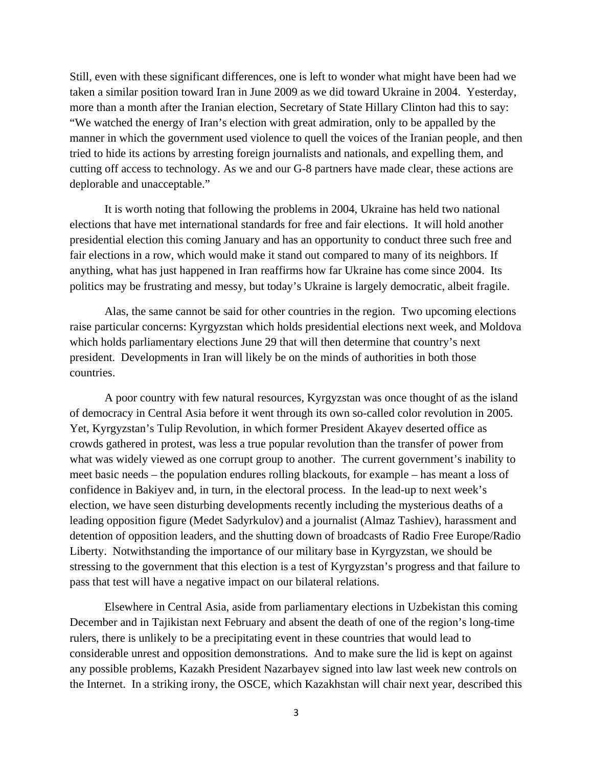Still, even with these significant differences, one is left to wonder what might have been had we taken a similar position toward Iran in June 2009 as we did toward Ukraine in 2004. Yesterday, more than a month after the Iranian election, Secretary of State Hillary Clinton had this to say: "We watched the energy of Iran's election with great admiration, only to be appalled by the manner in which the government used violence to quell the voices of the Iranian people, and then tried to hide its actions by arresting foreign journalists and nationals, and expelling them, and cutting off access to technology. As we and our G-8 partners have made clear, these actions are deplorable and unacceptable."

It is worth noting that following the problems in 2004, Ukraine has held two national elections that have met international standards for free and fair elections. It will hold another presidential election this coming January and has an opportunity to conduct three such free and fair elections in a row, which would make it stand out compared to many of its neighbors. If anything, what has just happened in Iran reaffirms how far Ukraine has come since 2004. Its politics may be frustrating and messy, but today's Ukraine is largely democratic, albeit fragile.

Alas, the same cannot be said for other countries in the region. Two upcoming elections raise particular concerns: Kyrgyzstan which holds presidential elections next week, and Moldova which holds parliamentary elections June 29 that will then determine that country's next president. Developments in Iran will likely be on the minds of authorities in both those countries.

A poor country with few natural resources, Kyrgyzstan was once thought of as the island of democracy in Central Asia before it went through its own so-called color revolution in 2005. Yet, Kyrgyzstan's Tulip Revolution, in which former President Akayev deserted office as crowds gathered in protest, was less a true popular revolution than the transfer of power from what was widely viewed as one corrupt group to another. The current government's inability to meet basic needs – the population endures rolling blackouts, for example – has meant a loss of confidence in Bakiyev and, in turn, in the electoral process. In the lead-up to next week's election, we have seen disturbing developments recently including the mysterious deaths of a leading opposition figure (Medet Sadyrkulov) and a journalist (Almaz Tashiev), harassment and detention of opposition leaders, and the shutting down of broadcasts of Radio Free Europe/Radio Liberty. Notwithstanding the importance of our military base in Kyrgyzstan, we should be stressing to the government that this election is a test of Kyrgyzstan's progress and that failure to pass that test will have a negative impact on our bilateral relations.

Elsewhere in Central Asia, aside from parliamentary elections in Uzbekistan this coming December and in Tajikistan next February and absent the death of one of the region's long-time rulers, there is unlikely to be a precipitating event in these countries that would lead to considerable unrest and opposition demonstrations. And to make sure the lid is kept on against any possible problems, Kazakh President Nazarbayev signed into law last week new controls on the Internet. In a striking irony, the OSCE, which Kazakhstan will chair next year, described this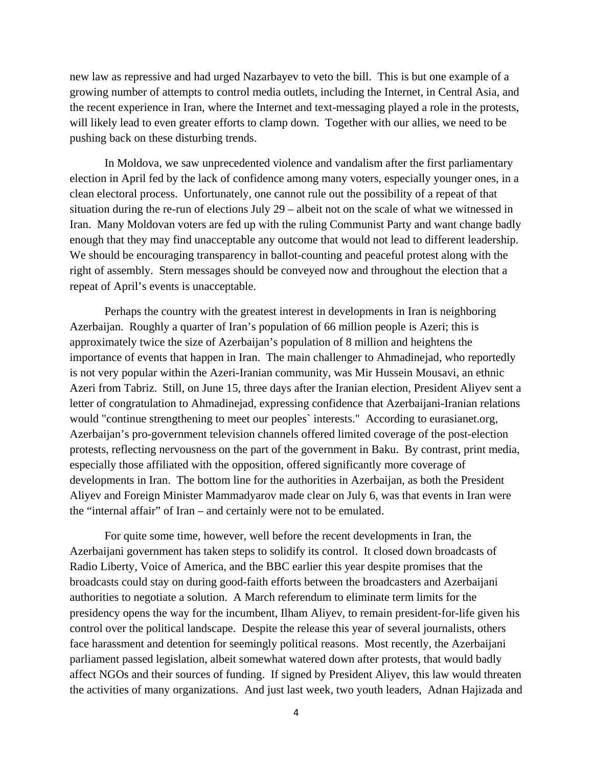new law as repressive and had urged Nazarbayev to veto the bill. This is but one example of a growing number of attempts to control media outlets, including the Internet, in Central Asia, and the recent experience in Iran, where the Internet and text-messaging played a role in the protests, will likely lead to even greater efforts to clamp down. Together with our allies, we need to be pushing back on these disturbing trends.

In Moldova, we saw unprecedented violence and vandalism after the first parliamentary election in April fed by the lack of confidence among many voters, especially younger ones, in a clean electoral process. Unfortunately, one cannot rule out the possibility of a repeat of that situation during the re-run of elections July 29 – albeit not on the scale of what we witnessed in Iran. Many Moldovan voters are fed up with the ruling Communist Party and want change badly enough that they may find unacceptable any outcome that would not lead to different leadership. We should be encouraging transparency in ballot-counting and peaceful protest along with the right of assembly. Stern messages should be conveyed now and throughout the election that a repeat of April's events is unacceptable.

Perhaps the country with the greatest interest in developments in Iran is neighboring Azerbaijan. Roughly a quarter of Iran's population of 66 million people is Azeri; this is approximately twice the size of Azerbaijan's population of 8 million and heightens the importance of events that happen in Iran. The main challenger to Ahmadinejad, who reportedly is not very popular within the Azeri-Iranian community, was Mir Hussein Mousavi, an ethnic Azeri from Tabriz. Still, on June 15, three days after the Iranian election, President Aliyev sent a letter of congratulation to Ahmadinejad, expressing confidence that Azerbaijani-Iranian relations would "continue strengthening to meet our peoples` interests." According to eurasianet.org, Azerbaijan's pro-government television channels offered limited coverage of the post-election protests, reflecting nervousness on the part of the government in Baku. By contrast, print media, especially those affiliated with the opposition, offered significantly more coverage of developments in Iran. The bottom line for the authorities in Azerbaijan, as both the President Aliyev and Foreign Minister Mammadyarov made clear on July 6, was that events in Iran were the "internal affair" of Iran – and certainly were not to be emulated.

For quite some time, however, well before the recent developments in Iran, the Azerbaijani government has taken steps to solidify its control. It closed down broadcasts of Radio Liberty, Voice of America, and the BBC earlier this year despite promises that the broadcasts could stay on during good-faith efforts between the broadcasters and Azerbaijani authorities to negotiate a solution. A March referendum to eliminate term limits for the presidency opens the way for the incumbent, Ilham Aliyev, to remain president-for-life given his control over the political landscape. Despite the release this year of several journalists, others face harassment and detention for seemingly political reasons. Most recently, the Azerbaijani parliament passed legislation, albeit somewhat watered down after protests, that would badly affect NGOs and their sources of funding. If signed by President Aliyev, this law would threaten the activities of many organizations. And just last week, two youth leaders, Adnan Hajizada and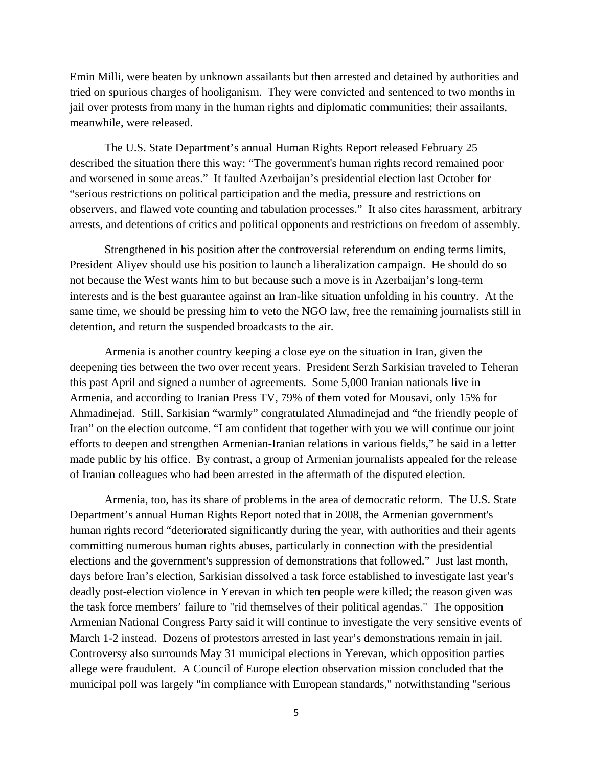Emin Milli, were beaten by unknown assailants but then arrested and detained by authorities and tried on spurious charges of hooliganism. They were convicted and sentenced to two months in jail over protests from many in the human rights and diplomatic communities; their assailants, meanwhile, were released.

The U.S. State Department's annual Human Rights Report released February 25 described the situation there this way: "The government's human rights record remained poor and worsened in some areas." It faulted Azerbaijan's presidential election last October for "serious restrictions on political participation and the media, pressure and restrictions on observers, and flawed vote counting and tabulation processes." It also cites harassment, arbitrary arrests, and detentions of critics and political opponents and restrictions on freedom of assembly.

Strengthened in his position after the controversial referendum on ending terms limits, President Aliyev should use his position to launch a liberalization campaign. He should do so not because the West wants him to but because such a move is in Azerbaijan's long-term interests and is the best guarantee against an Iran-like situation unfolding in his country. At the same time, we should be pressing him to veto the NGO law, free the remaining journalists still in detention, and return the suspended broadcasts to the air.

Armenia is another country keeping a close eye on the situation in Iran, given the deepening ties between the two over recent years. President Serzh Sarkisian traveled to Teheran this past April and signed a number of agreements. Some 5,000 Iranian nationals live in Armenia, and according to Iranian Press TV, 79% of them voted for Mousavi, only 15% for Ahmadinejad. Still, Sarkisian "warmly" congratulated Ahmadinejad and "the friendly people of Iran" on the election outcome. "I am confident that together with you we will continue our joint efforts to deepen and strengthen Armenian-Iranian relations in various fields," he said in a letter made public by his office. By contrast, a group of Armenian journalists appealed for the release of Iranian colleagues who had been arrested in the aftermath of the disputed election.

Armenia, too, has its share of problems in the area of democratic reform. The U.S. State Department's annual Human Rights Report noted that in 2008, the Armenian government's human rights record "deteriorated significantly during the year, with authorities and their agents committing numerous human rights abuses, particularly in connection with the presidential elections and the government's suppression of demonstrations that followed." Just last month, days before Iran's election, Sarkisian dissolved a task force established to investigate last year's deadly post-election violence in Yerevan in which ten people were killed; the reason given was the task force members' failure to "rid themselves of their political agendas." The opposition Armenian National Congress Party said it will continue to investigate the very sensitive events of March 1-2 instead. Dozens of protestors arrested in last year's demonstrations remain in jail. Controversy also surrounds May 31 municipal elections in Yerevan, which opposition parties allege were fraudulent. A Council of Europe election observation mission concluded that the municipal poll was largely "in compliance with European standards," notwithstanding "serious